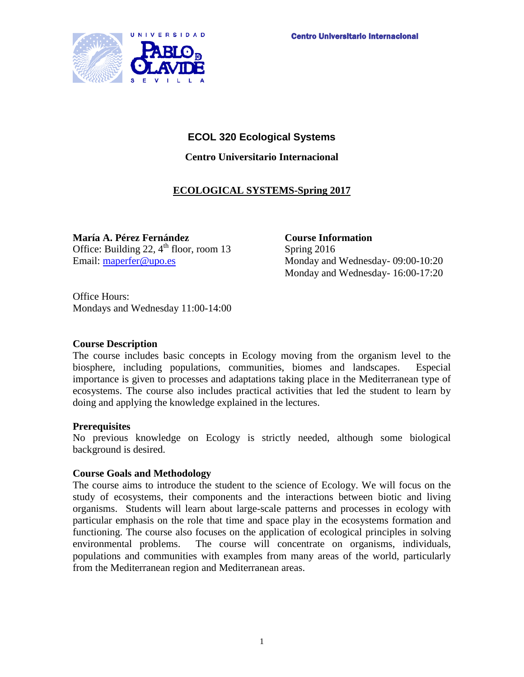

# **ECOL 320 Ecological Systems**

**Centro Universitario Internacional**

# **ECOLOGICAL SYSTEMS-Spring 2017**

**María A. Pérez Fernández Course Information** Office: Building 22,  $4^{\text{th}}$  floor, room 13 Spring 2016

Email: [maperfer@upo.es](mailto:maperfer@upo.es) Monday and Wednesday- 09:00-10:20 Monday and Wednesday- 16:00-17:20

Office Hours: Mondays and Wednesday 11:00-14:00

## **Course Description**

The course includes basic concepts in Ecology moving from the organism level to the biosphere, including populations, communities, biomes and landscapes. Especial importance is given to processes and adaptations taking place in the Mediterranean type of ecosystems. The course also includes practical activities that led the student to learn by doing and applying the knowledge explained in the lectures.

## **Prerequisites**

No previous knowledge on Ecology is strictly needed, although some biological background is desired.

## **Course Goals and Methodology**

The course aims to introduce the student to the science of Ecology. We will focus on the study of ecosystems, their components and the interactions between biotic and living organisms. Students will learn about large-scale patterns and processes in ecology with particular emphasis on the role that time and space play in the ecosystems formation and functioning. The course also focuses on the application of ecological principles in solving environmental problems. The course will concentrate on organisms, individuals, populations and communities with examples from many areas of the world, particularly from the Mediterranean region and Mediterranean areas.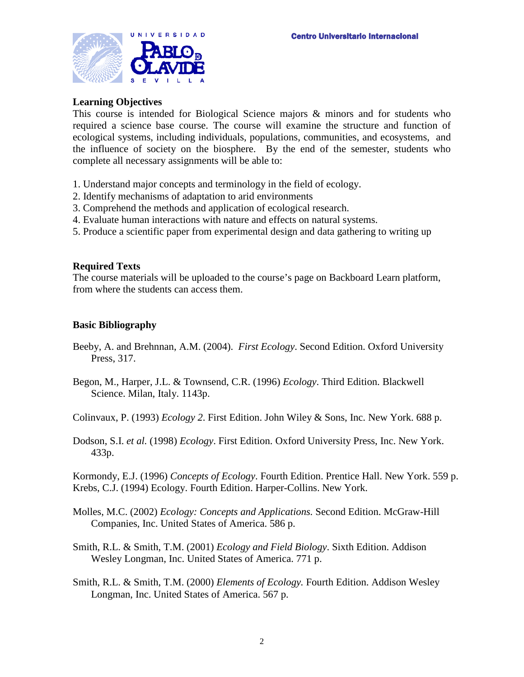

### **Learning Objectives**

This course is intended for Biological Science majors & minors and for students who required a science base course. The course will examine the structure and function of ecological systems, including individuals, populations, communities, and ecosystems, and the influence of society on the biosphere. By the end of the semester, students who complete all necessary assignments will be able to:

- 1. Understand major concepts and terminology in the field of ecology.
- 2. Identify mechanisms of adaptation to arid environments
- 3. Comprehend the methods and application of ecological research.
- 4. Evaluate human interactions with nature and effects on natural systems.
- 5. Produce a scientific paper from experimental design and data gathering to writing up

### **Required Texts**

The course materials will be uploaded to the course's page on Backboard Learn platform, from where the students can access them.

### **Basic Bibliography**

- Beeby, A. and Brehnnan, A.M. (2004). *First Ecology*. Second Edition. Oxford University Press, 317.
- Begon, M., Harper, J.L. & Townsend, C.R. (1996) *Ecology*. Third Edition. Blackwell Science. Milan, Italy. 1143p.

Colinvaux, P. (1993) *Ecology 2*. First Edition. John Wiley & Sons, Inc. New York. 688 p.

Dodson, S.I. *et al.* (1998) *Ecology*. First Edition. Oxford University Press, Inc. New York. 433p.

Kormondy, E.J. (1996) *Concepts of Ecology*. Fourth Edition. Prentice Hall. New York. 559 p. Krebs, C.J. (1994) Ecology. Fourth Edition. Harper-Collins. New York.

- Molles, M.C. (2002) *Ecology: Concepts and Applications.* Second Edition. McGraw-Hill Companies, Inc. United States of America. 586 p.
- Smith, R.L. & Smith, T.M. (2001) *Ecology and Field Biology*. Sixth Edition. Addison Wesley Longman, Inc. United States of America. 771 p.
- Smith, R.L. & Smith, T.M. (2000) *Elements of Ecology.* Fourth Edition. Addison Wesley Longman, Inc. United States of America. 567 p.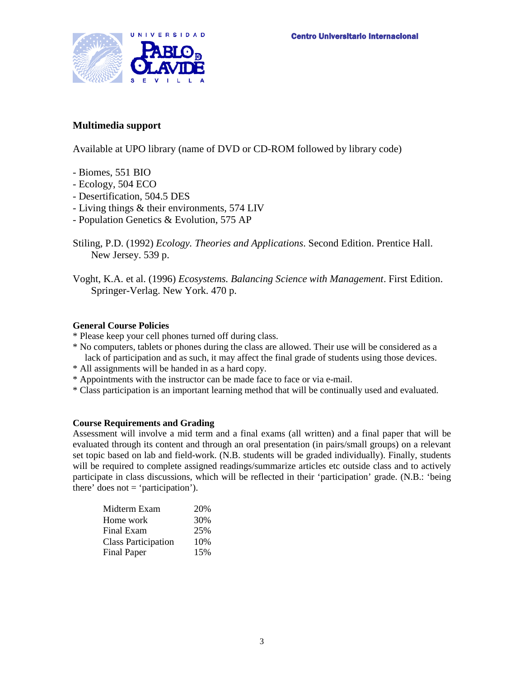

## **Multimedia support**

Available at UPO library (name of DVD or CD-ROM followed by library code)

- Biomes, 551 BIO
- Ecology, 504 ECO
- Desertification, 504.5 DES
- Living things & their environments, 574 LIV
- Population Genetics & Evolution, 575 AP
- Stiling, P.D. (1992) *Ecology. Theories and Applications*. Second Edition. Prentice Hall. New Jersey. 539 p.
- Voght, K.A. et al. (1996) *Ecosystems. Balancing Science with Management*. First Edition. Springer-Verlag. New York. 470 p.

#### **General Course Policies**

- \* Please keep your cell phones turned off during class.
- \* No computers, tablets or phones during the class are allowed. Their use will be considered as a lack of participation and as such, it may affect the final grade of students using those devices.
- \* All assignments will be handed in as a hard copy.
- \* Appointments with the instructor can be made face to face or via e-mail.
- \* Class participation is an important learning method that will be continually used and evaluated.

#### **Course Requirements and Grading**

Assessment will involve a mid term and a final exams (all written) and a final paper that will be evaluated through its content and through an oral presentation (in pairs/small groups) on a relevant set topic based on lab and field-work. (N.B. students will be graded individually). Finally, students will be required to complete assigned readings/summarize articles etc outside class and to actively participate in class discussions, which will be reflected in their 'participation' grade. (N.B.: 'being there' does not  $=$  'participation').

| Midterm Exam               | 20% |
|----------------------------|-----|
| Home work                  | 30% |
| Final Exam                 | 25% |
| <b>Class Participation</b> | 10% |
| <b>Final Paper</b>         | 15% |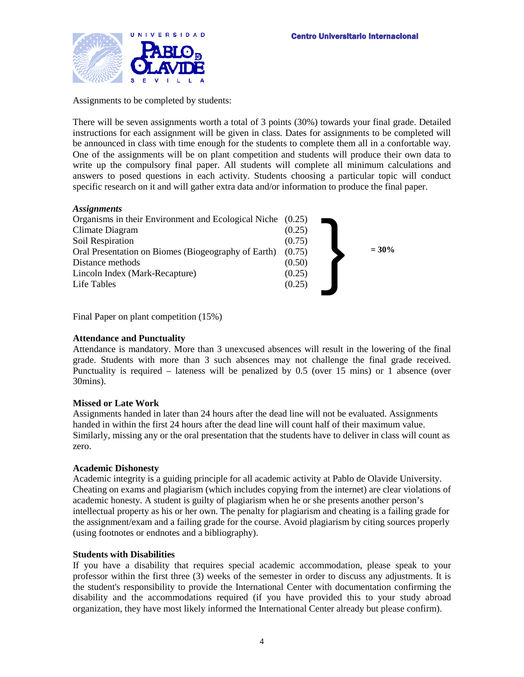

Assignments to be completed by students:

There will be seven assignments worth a total of 3 points (30%) towards your final grade. Detailed instructions for each assignment will be given in class. Dates for assignments to be completed will be announced in class with time enough for the students to complete them all in a confortable way. One of the assignments will be on plant competition and students will produce their own data to write up the compulsory final paper. All students will complete all minimum calculations and answers to posed questions in each activity. Students choosing a particular topic will conduct specific research on it and will gather extra data and/or information to produce the final paper.

#### *Assignments*



Final Paper on plant competition (15%)

#### **Attendance and Punctuality**

Attendance is mandatory. More than 3 unexcused absences will result in the lowering of the final grade. Students with more than 3 such absences may not challenge the final grade received. Punctuality is required – lateness will be penalized by 0.5 (over 15 mins) or 1 absence (over 30mins).

#### **Missed or Late Work**

Assignments handed in later than 24 hours after the dead line will not be evaluated. Assignments handed in within the first 24 hours after the dead line will count half of their maximum value. Similarly, missing any or the oral presentation that the students have to deliver in class will count as zero.

#### **Academic Dishonesty**

Academic integrity is a guiding principle for all academic activity at Pablo de Olavide University. Cheating on exams and plagiarism (which includes copying from the internet) are clear violations of academic honesty. A student is guilty of plagiarism when he or she presents another person's intellectual property as his or her own. The penalty for plagiarism and cheating is a failing grade for the assignment/exam and a failing grade for the course. Avoid plagiarism by citing sources properly (using footnotes or endnotes and a bibliography).

#### **Students with Disabilities**

If you have a disability that requires special academic accommodation, please speak to your professor within the first three (3) weeks of the semester in order to discuss any adjustments. It is the student's responsibility to provide the International Center with documentation confirming the disability and the accommodations required (if you have provided this to your study abroad organization, they have most likely informed the International Center already but please confirm).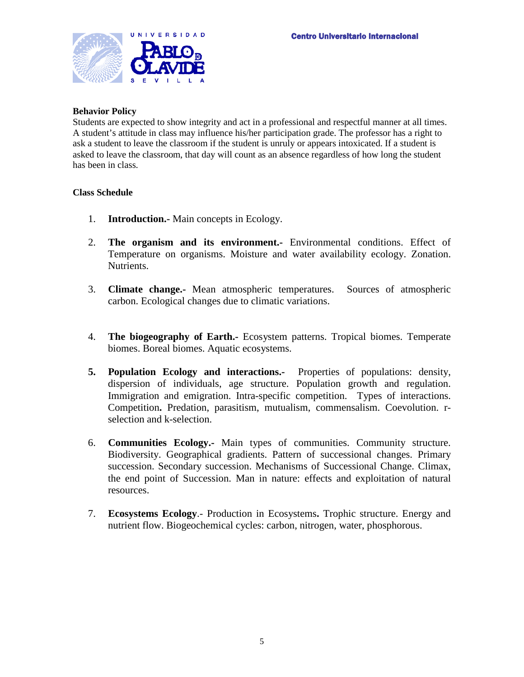

#### **Behavior Policy**

Students are expected to show integrity and act in a professional and respectful manner at all times. A student's attitude in class may influence his/her participation grade. The professor has a right to ask a student to leave the classroom if the student is unruly or appears intoxicated. If a student is asked to leave the classroom, that day will count as an absence regardless of how long the student has been in class.

#### **Class Schedule**

- 1. **Introduction.-** Main concepts in Ecology.
- 2. **The organism and its environment.-** Environmental conditions. Effect of Temperature on organisms. Moisture and water availability ecology. Zonation. Nutrients.
- 3. **Climate change.-** Mean atmospheric temperatures. Sources of atmospheric carbon. Ecological changes due to climatic variations.
- 4. **The biogeography of Earth.-** Ecosystem patterns. Tropical biomes. Temperate biomes. Boreal biomes. Aquatic ecosystems.
- **5. Population Ecology and interactions.-** Properties of populations: density, dispersion of individuals, age structure. Population growth and regulation. Immigration and emigration. Intra-specific competition. Types of interactions. Competition**.** Predation, parasitism, mutualism, commensalism. Coevolution. rselection and k-selection.
- 6. **Communities Ecology.-** Main types of communities. Community structure. Biodiversity. Geographical gradients. Pattern of successional changes. Primary succession. Secondary succession. Mechanisms of Successional Change. Climax, the end point of Succession. Man in nature: effects and exploitation of natural resources.
- 7. **Ecosystems Ecology**.- Production in Ecosystems**.** Trophic structure. Energy and nutrient flow. Biogeochemical cycles: carbon, nitrogen, water, phosphorous.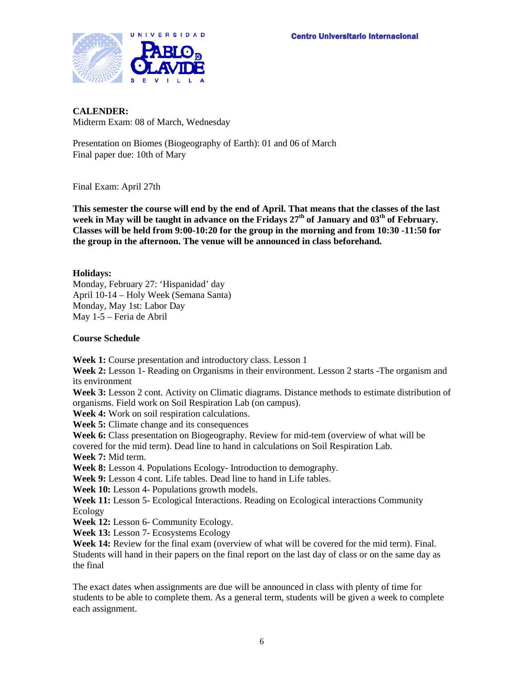

# **CALENDER:**

Midterm Exam: 08 of March, Wednesday

Presentation on Biomes (Biogeography of Earth): 01 and 06 of March Final paper due: 10th of Mary

Final Exam: April 27th

**This semester the course will end by the end of April. That means that the classes of the last**  week in May will be taught in advance on the Fridays  $27<sup>th</sup>$  of January and  $03<sup>th</sup>$  of February. **Classes will be held from 9:00-10:20 for the group in the morning and from 10:30 -11:50 for the group in the afternoon. The venue will be announced in class beforehand.**

**Holidays:**

Monday, February 27: 'Hispanidad' day April 10-14 – Holy Week (Semana Santa) Monday, May 1st: Labor Day May 1-5 – Feria de Abril

### **Course Schedule**

**Week 1:** Course presentation and introductory class. Lesson 1

**Week 2:** Lesson 1- Reading on Organisms in their environment. Lesson 2 starts -The organism and its environment

**Week 3:** Lesson 2 cont. Activity on Climatic diagrams. Distance methods to estimate distribution of organisms. Field work on Soil Respiration Lab (on campus).

**Week 4:** Work on soil respiration calculations.

**Week 5:** Climate change and its consequences

**Week 6:** Class presentation on Biogeography. Review for mid-tem (overview of what will be covered for the mid term). Dead line to hand in calculations on Soil Respiration Lab.

**Week 7:** Mid term.

**Week 8:** Lesson 4. Populations Ecology- Introduction to demography.

**Week 9:** Lesson 4 cont. Life tables. Dead line to hand in Life tables.

**Week 10:** Lesson 4- Populations growth models.

**Week 11:** Lesson 5- Ecological Interactions. Reading on Ecological interactions Community Ecology

**Week 12:** Lesson 6- Community Ecology.

**Week 13:** Lesson 7- Ecosystems Ecology

**Week 14:** Review for the final exam (overview of what will be covered for the mid term). Final. Students will hand in their papers on the final report on the last day of class or on the same day as the final

The exact dates when assignments are due will be announced in class with plenty of time for students to be able to complete them. As a general term, students will be given a week to complete each assignment.